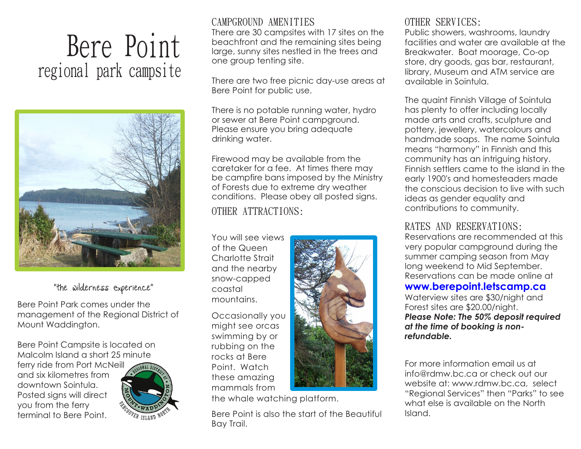# Bere Point regional park campsite



## "The Wilderness Experience"

Bere Point Park comes under the management of the Regional District of Mount Waddington.

Bere Point Campsite is located on Malcolm Island a short 25 minute ferry ride from Port McNeill and six kilometres from downtown Sointula. Posted signs will direct you from the ferry terminal to Bere Point.



## CAMPGROUND AMENITIES

There are 30 campsites with 17 sites on the beachfront and the remaining sites being large, sunny sites nestled in the trees and one group tenting site.

There are two free picnic day-use areas at Bere Point for public use.

There is no potable running water, hydro or sewer at Bere Point campground. Please ensure you bring adequate drinking water.

Firewood may be available from the caretaker for a fee. At times there may be campfire bans imposed by the Ministry of Forests due to extreme dry weather conditions. Please obey all posted signs.

## OTHER ATTRACTIONS:

You will see views of the Queen Charlotte Strait and the nearby snow-capped coastal mountains.

Occasionally you might see orcas swimming by or rubbing on the rocks at Bere Point. Watch these amazing mammals from



the whale watching platform.

Bere Point is also the start of the Beautiful Bay Trail.

## OTHER SERVICES:

Public showers, washrooms, laundry facilities and water are available at the Breakwater. Boat moorage, Co-op store, dry goods, gas bar, restaurant, library, Museum and ATM service are available in Sointula.

The quaint Finnish Village of Sointula has plenty to offer including locally made arts and crafts, sculpture and pottery, jewellery, watercolours and handmade soaps. The name Sointula means "harmony" in Finnish and this community has an intriguing history. Finnish settlers came to the island in the early 1900's and homesteaders made the conscious decision to live with such ideas as gender equality and contributions to community.

## RATES AND RESERVATIONS:

Reservations are recommended at this very popular campground during the summer camping season from May long weekend to Mid September. Reservations can be made online at

#### **www.berepoint.letscamp.ca**

Waterview sites are \$30/night and Forest sites are \$20.00/night. *Please Note: The 50% deposit required at the time of booking is nonrefundable.*

For more information email us at info@rdmw.bc.ca or check out our website at: www.rdmw.bc.ca, select "Regional Services" then "Parks" to see what else is available on the North Island.